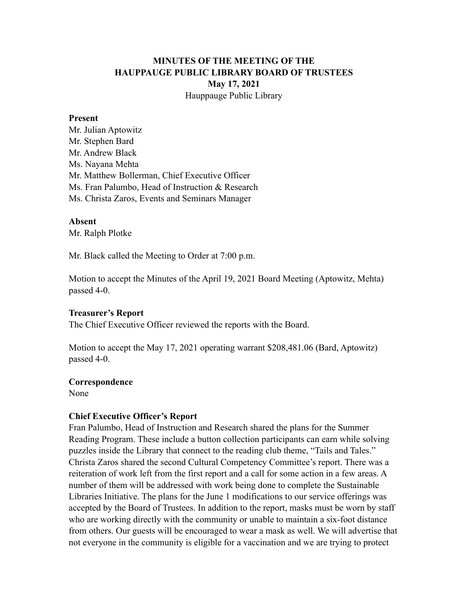## **MINUTES OF THE MEETING OF THE HAUPPAUGE PUBLIC LIBRARY BOARD OF TRUSTEES May 17, 2021** Hauppauge Public Library

#### **Present**

Mr. Julian Aptowitz Mr. Stephen Bard Mr. Andrew Black Ms. Nayana Mehta Mr. Matthew Bollerman, Chief Executive Officer Ms. Fran Palumbo, Head of Instruction & Research Ms. Christa Zaros, Events and Seminars Manager

#### **Absent**

Mr. Ralph Plotke

Mr. Black called the Meeting to Order at 7:00 p.m.

Motion to accept the Minutes of the April 19, 2021 Board Meeting (Aptowitz, Mehta) passed 4-0.

### **Treasurer's Report**

The Chief Executive Officer reviewed the reports with the Board.

Motion to accept the May 17, 2021 operating warrant \$208,481.06 (Bard, Aptowitz) passed 4-0.

#### **Correspondence**

None

### **Chief Executive Officer's Report**

Fran Palumbo, Head of Instruction and Research shared the plans for the Summer Reading Program. These include a button collection participants can earn while solving puzzles inside the Library that connect to the reading club theme, "Tails and Tales." Christa Zaros shared the second Cultural Competency Committee's report. There was a reiteration of work left from the first report and a call for some action in a few areas. A number of them will be addressed with work being done to complete the Sustainable Libraries Initiative. The plans for the June 1 modifications to our service offerings was accepted by the Board of Trustees. In addition to the report, masks must be worn by staff who are working directly with the community or unable to maintain a six-foot distance from others. Our guests will be encouraged to wear a mask as well. We will advertise that not everyone in the community is eligible for a vaccination and we are trying to protect